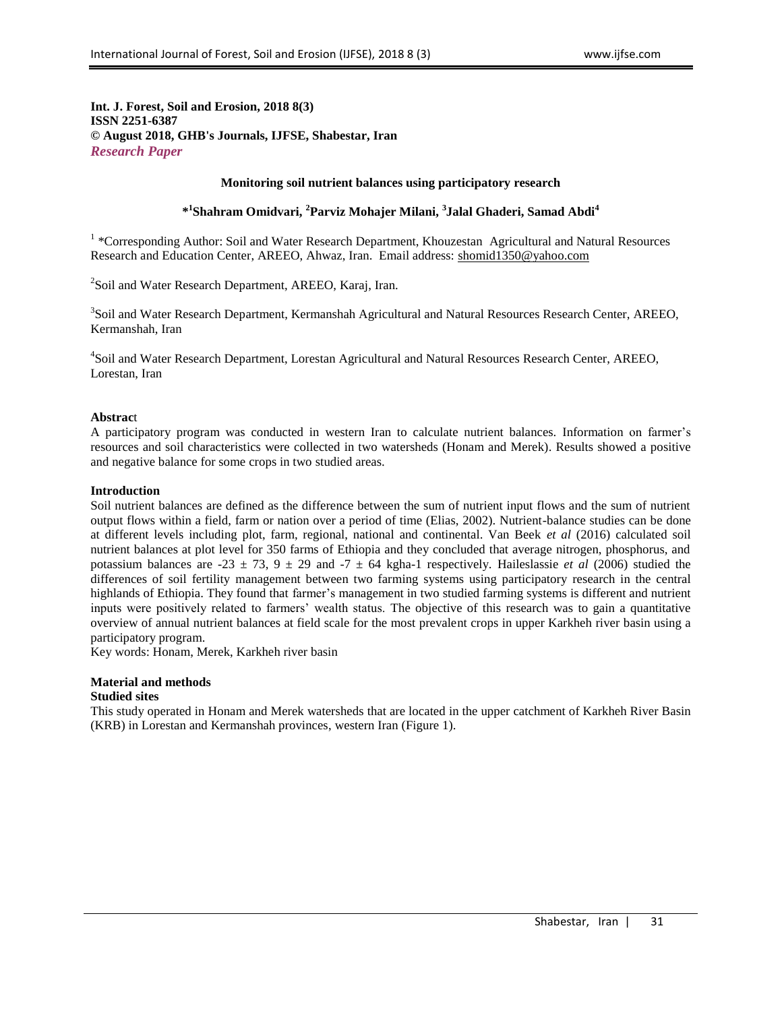## **Int. J. Forest, Soil and Erosion, 2018 8(3) ISSN 2251-6387 © August 2018, GHB's Journals, IJFSE, Shabestar, Iran** *Research Paper*

## **Monitoring soil nutrient balances using participatory research**

# **\* 1 Shahram Omidvari, <sup>2</sup>Parviz Mohajer Milani, <sup>3</sup> Jalal Ghaderi, Samad Abdi<sup>4</sup>**

<sup>1</sup> \*Corresponding Author: Soil and Water Research Department, Khouzestan Agricultural and Natural Resources Research and Education Center, AREEO, Ahwaz, Iran. Email address: [shomid1350@yahoo.com](mailto:shomid1350@yahoo.com)

<sup>2</sup>Soil and Water Research Department, AREEO, Karaj, Iran.

<sup>3</sup>Soil and Water Research Department, Kermanshah Agricultural and Natural Resources Research Center, AREEO, Kermanshah, Iran

4 Soil and Water Research Department, Lorestan Agricultural and Natural Resources Research Center, AREEO, Lorestan, Iran

### **Abstrac**t

A participatory program was conducted in western Iran to calculate nutrient balances. Information on farmer's resources and soil characteristics were collected in two watersheds (Honam and Merek). Results showed a positive and negative balance for some crops in two studied areas.

## **Introduction**

Soil nutrient balances are defined as the difference between the sum of nutrient input flows and the sum of nutrient output flows within a field, farm or nation over a period of time (Elias, 2002). Nutrient-balance studies can be done at different levels including plot, farm, regional, national and continental. Van Beek *et al* (2016) calculated soil nutrient balances at plot level for 350 farms of Ethiopia and they concluded that average nitrogen, phosphorus, and potassium balances are -23  $\pm$  73, 9  $\pm$  29 and -7  $\pm$  64 kgha-1 respectively. Haileslassie *et al* (2006) studied the differences of soil fertility management between two farming systems using participatory research in the central highlands of Ethiopia. They found that farmer's management in two studied farming systems is different and nutrient inputs were positively related to farmers' wealth status. The objective of this research was to gain a quantitative overview of annual nutrient balances at field scale for the most prevalent crops in upper Karkheh river basin using a participatory program.

Key words: Honam, Merek, Karkheh river basin

# **Material and methods**

### **Studied sites**

This study operated in Honam and Merek watersheds that are located in the upper catchment of Karkheh River Basin (KRB) in Lorestan and Kermanshah provinces, western Iran (Figure 1).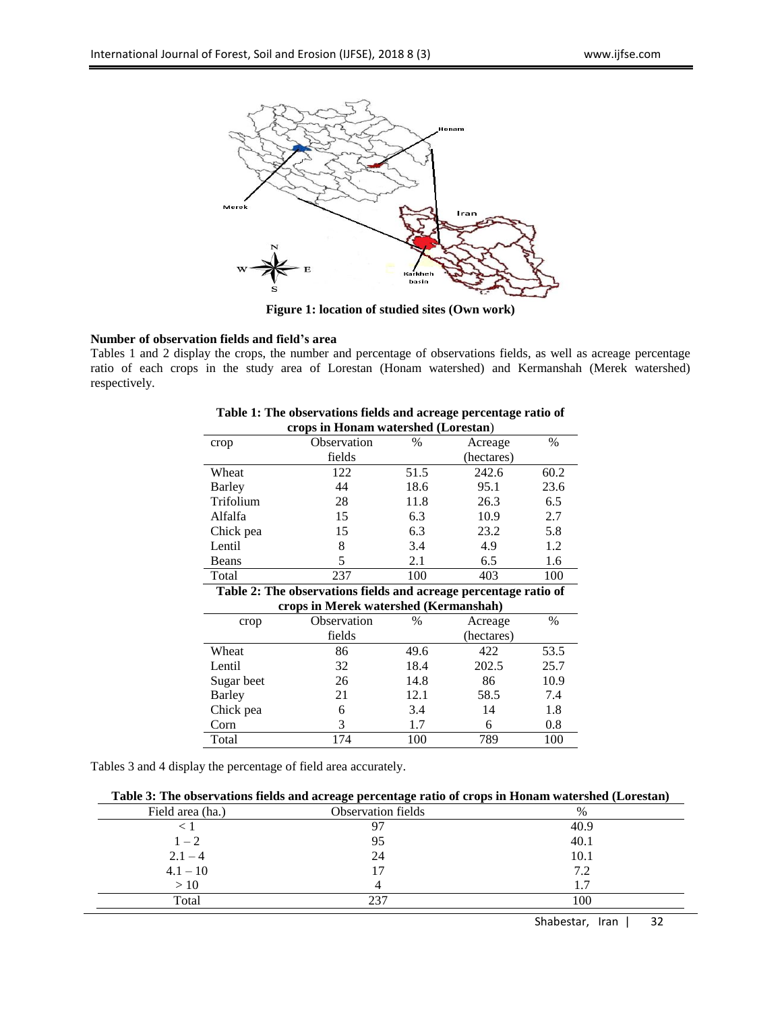

**Figure 1: location of studied sites (Own work)**

# **Number of observation fields and field's area**

Tables 1 and 2 display the crops, the number and percentage of observations fields, as well as acreage percentage ratio of each crops in the study area of Lorestan (Honam watershed) and Kermanshah (Merek watershed) respectively.

| crops in Honam watershed (Lorestan) |             |                 |            |      |  |  |  |  |
|-------------------------------------|-------------|-----------------|------------|------|--|--|--|--|
| crop                                | Observation | $\%$<br>Acreage |            |      |  |  |  |  |
|                                     | fields      |                 | (hectares) |      |  |  |  |  |
| Wheat                               | 122         | 51.5            | 242.6      | 60.2 |  |  |  |  |
| Barley                              | 44          | 18.6            | 95.1       | 23.6 |  |  |  |  |
| Trifolium                           | 28          | 11.8            | 26.3       | 6.5  |  |  |  |  |
| Alfalfa                             | 15          | 6.3             | 10.9       | 2.7  |  |  |  |  |
| Chick pea                           | 15          | 6.3             | 23.2       | 5.8  |  |  |  |  |
| Lentil                              | 8           | 3.4             | 4.9        | 1.2  |  |  |  |  |
| Beans                               | 5           | 2.1             | 6.5        | 1.6  |  |  |  |  |
| Total                               | 237         | 100             | 403        | 100  |  |  |  |  |
|                                     |             |                 |            |      |  |  |  |  |

**Table 1: The observations fields and acreage percentage ratio of crops in Honam watershed (Lorestan**)

**Table 2: The observations fields and acreage percentage ratio of crops in Merek watershed (Kermanshah)**

| crop          | Observation | $\%$ | Acreage    | $\%$ |
|---------------|-------------|------|------------|------|
|               | fields      |      | (hectares) |      |
| Wheat         | 86          | 49.6 | 422        | 53.5 |
| Lentil        | 32          | 18.4 | 202.5      | 25.7 |
| Sugar beet    | 26          | 14.8 | 86         | 10.9 |
| <b>Barley</b> | 21          | 12.1 | 58.5       | 7.4  |
| Chick pea     | 6           | 3.4  | 14         | 1.8  |
| Corn          | 3           | 1.7  | 6          | 0.8  |
| Total         | 174         | 100  | 789        | 100  |

Tables 3 and 4 display the percentage of field area accurately.

| Table 3: The observations fields and acreage percentage ratio of crops in Honam watershed (Lorestan) |  |  |
|------------------------------------------------------------------------------------------------------|--|--|
|                                                                                                      |  |  |

| Field area (ha.) | Observation fields | $\%$ |
|------------------|--------------------|------|
|                  |                    | 40.9 |
| $1 - 2$          | 95                 | 40.1 |
| $2.1 - 4$        | 24                 | 10.1 |
| $4.1 - 10$       |                    | 7.2  |
| $>10$            |                    | 1.7  |
| Total            | ววา                | 100  |

Shabestar, Iran | 32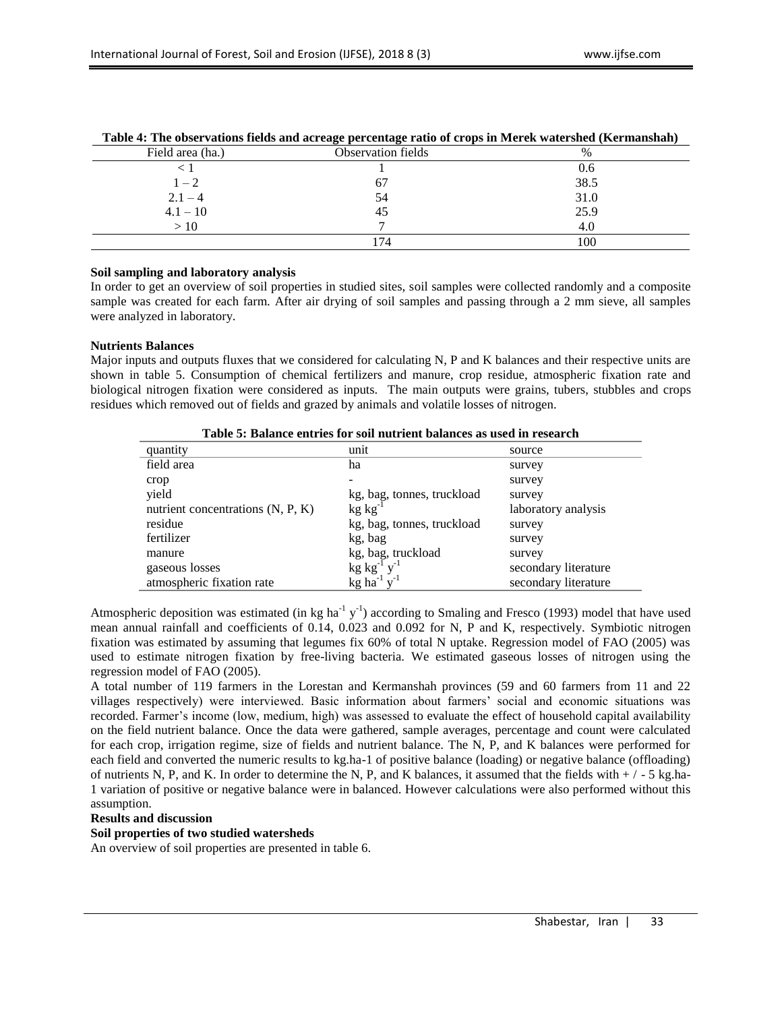|                  | - -<br>-           |      |
|------------------|--------------------|------|
| Field area (ha.) | Observation fields | $\%$ |
|                  |                    | 0.6  |
| $1-2$            | 67                 | 38.5 |
| $2.1 - 4$        | 54                 | 31.0 |
| $4.1 - 10$       | 45                 | 25.9 |
| >10              |                    | 4.0  |
|                  | 74                 | 100  |

#### **Table 4: The observations fields and acreage percentage ratio of crops in Merek watershed (Kermanshah)**

### **Soil sampling and laboratory analysis**

In order to get an overview of soil properties in studied sites, soil samples were collected randomly and a composite sample was created for each farm. After air drying of soil samples and passing through a 2 mm sieve, all samples were analyzed in laboratory.

### **Nutrients Balances**

Major inputs and outputs fluxes that we considered for calculating N, P and K balances and their respective units are shown in table 5. Consumption of chemical fertilizers and manure, crop residue, atmospheric fixation rate and biological nitrogen fixation were considered as inputs. The main outputs were grains, tubers, stubbles and crops residues which removed out of fields and grazed by animals and volatile losses of nitrogen.

| Table of Dalance entries for son nutrient balances as used in Fescarcii |                      |  |  |  |  |  |  |  |
|-------------------------------------------------------------------------|----------------------|--|--|--|--|--|--|--|
| unit                                                                    | source               |  |  |  |  |  |  |  |
| ha                                                                      | survey               |  |  |  |  |  |  |  |
|                                                                         | survey               |  |  |  |  |  |  |  |
| kg, bag, tonnes, truckload                                              | survey               |  |  |  |  |  |  |  |
| $kg kg^{-1}$                                                            | laboratory analysis  |  |  |  |  |  |  |  |
| kg, bag, tonnes, truckload                                              | survey               |  |  |  |  |  |  |  |
| kg, bag                                                                 | survey               |  |  |  |  |  |  |  |
| kg, bag, truckload                                                      | survey               |  |  |  |  |  |  |  |
|                                                                         | secondary literature |  |  |  |  |  |  |  |
| kg ha <sup>-1</sup> $v$ <sup>-1</sup>                                   | secondary literature |  |  |  |  |  |  |  |
|                                                                         | $kg kg^{-1} y^{-1}$  |  |  |  |  |  |  |  |

**Table 5: Balance entries for soil nutrient balances as used in research**

Atmospheric deposition was estimated (in kg ha<sup>-1</sup> y<sup>-1</sup>) according to Smaling and Fresco (1993) model that have used mean annual rainfall and coefficients of 0.14, 0.023 and 0.092 for N, P and K, respectively. Symbiotic nitrogen fixation was estimated by assuming that legumes fix 60% of total N uptake. Regression model of FAO (2005) was used to estimate nitrogen fixation by free-living bacteria. We estimated gaseous losses of nitrogen using the regression model of FAO (2005).

A total number of 119 farmers in the Lorestan and Kermanshah provinces (59 and 60 farmers from 11 and 22 villages respectively) were interviewed. Basic information about farmers' social and economic situations was recorded. Farmer's income (low, medium, high) was assessed to evaluate the effect of household capital availability on the field nutrient balance. Once the data were gathered, sample averages, percentage and count were calculated for each crop, irrigation regime, size of fields and nutrient balance. The N, P, and K balances were performed for each field and converted the numeric results to kg.ha-1 of positive balance (loading) or negative balance (offloading) of nutrients N, P, and K. In order to determine the N, P, and K balances, it assumed that the fields with  $+/-5$  kg.ha-1 variation of positive or negative balance were in balanced. However calculations were also performed without this assumption.

## **Results and discussion**

#### **Soil properties of two studied watersheds**

An overview of soil properties are presented in table 6.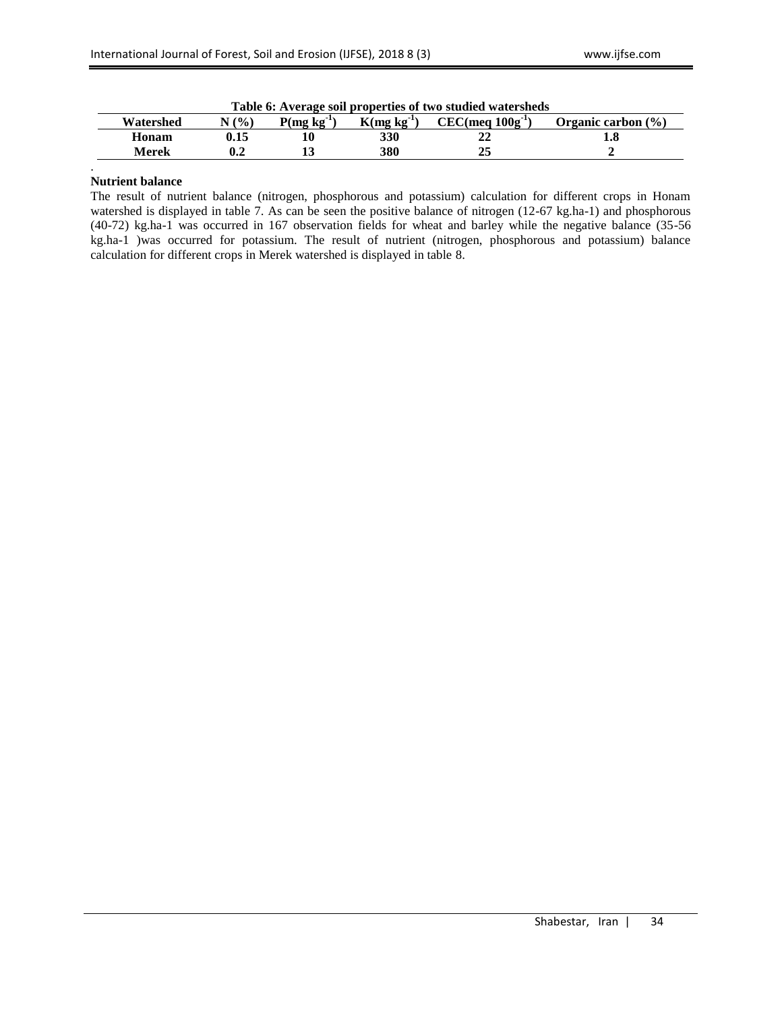| Table 6: Average soil properties of two studied watersheds |       |              |              |                          |                        |  |  |  |
|------------------------------------------------------------|-------|--------------|--------------|--------------------------|------------------------|--|--|--|
| Watershed                                                  | (9/0) | $P(mg kg-1)$ | $K(mg kg-1)$ | $CEC$ (meg $100g^{-1}$ ) | Organic carbon $(\% )$ |  |  |  |
| Honam                                                      | J.15  |              | 330          |                          | ι.δ                    |  |  |  |
| Merek                                                      |       |              | 380          |                          |                        |  |  |  |

**Table 6: Average soil properties of two studied watersheds**

## **Nutrient balance**

.

The result of nutrient balance (nitrogen, phosphorous and potassium) calculation for different crops in Honam watershed is displayed in table 7. As can be seen the positive balance of nitrogen (12-67 kg.ha-1) and phosphorous (40-72) kg.ha-1 was occurred in 167 observation fields for wheat and barley while the negative balance (35-56 kg.ha-1 )was occurred for potassium. The result of nutrient (nitrogen, phosphorous and potassium) balance calculation for different crops in Merek watershed is displayed in table 8.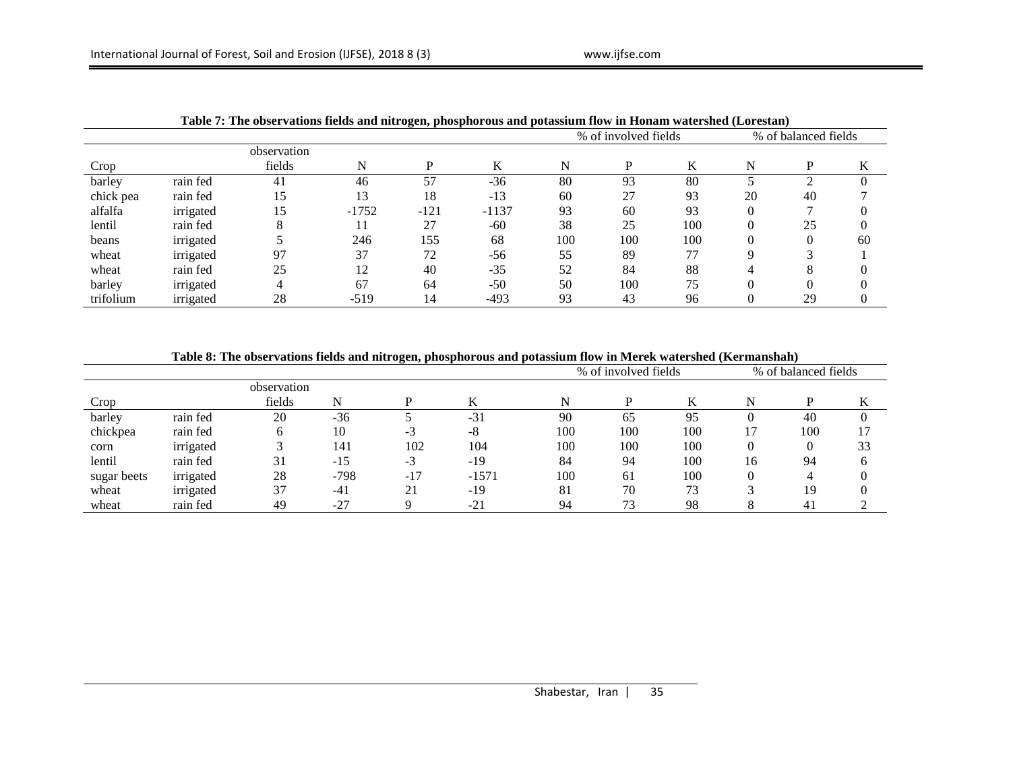|           |           |             |         |        |         |     | % of involved fields |        |    | % of balanced fields |    |  |
|-----------|-----------|-------------|---------|--------|---------|-----|----------------------|--------|----|----------------------|----|--|
|           |           | observation |         |        |         |     |                      |        |    |                      |    |  |
| Crop      |           | fields      | N       |        | K       | N   | D                    | T<br>N | N  |                      | N  |  |
| barley    | rain fed  | 41          | 46      | 57     | $-36$   | 80  | 93                   | 80     |    |                      |    |  |
| chick pea | rain fed  | 15          | 13      | 18     | $-13$   | 60  | 27                   | 93     | 20 | 40                   |    |  |
| alfalfa   | irrigated | 15          | $-1752$ | $-121$ | $-1137$ | 93  | 60                   | 93     |    |                      |    |  |
| lentil    | rain fed  |             |         | 27     | $-60$   | 38  | 25                   | 100    |    | 25                   |    |  |
| beans     | irrigated |             | 246     | 155    | 68      | 100 | 100                  | 100    |    |                      | 60 |  |
| wheat     | irrigated | 97          | 37      | 72     | $-56$   | 55  | 89                   | 77     | Q  |                      |    |  |
| wheat     | rain fed  | 25          | 12      | 40     | $-35$   | 52  | 84                   | 88     |    | $\circ$<br>δ         |    |  |
| barley    | irrigated |             | 67      | 64     | $-50$   | 50  | 100                  | 75     |    |                      |    |  |
| trifolium | irrigated | 28          | $-519$  | 14     | $-493$  | 93  | 43                   | 96     |    | 29                   |    |  |

**Table 7: The observations fields and nitrogen, phosphorous and potassium flow in Honam watershed (Lorestan)**

**Table 8: The observations fields and nitrogen, phosphorous and potassium flow in Merek watershed (Kermanshah)**

|             |           |             |        |       |         |     | % of involved fields |     | % of balanced fields |                |              |
|-------------|-----------|-------------|--------|-------|---------|-----|----------------------|-----|----------------------|----------------|--------------|
|             |           | observation |        |       |         |     |                      |     |                      |                |              |
| Crop        |           | fields      | N      |       | K       |     |                      |     | N                    |                |              |
| barley      | rain fed  | 20          | $-36$  |       | $-31$   | 90  | 65                   | 95  |                      | 40             |              |
| chickpea    | rain fed  | 6           | 10     | -3    | -8      | 100 | 100                  | 100 | 17                   | 100            |              |
| corn        | irrigated |             | 141    | 102   | 104     | 100 | 100                  | 100 | $\theta$             |                | 33           |
| lentil      | rain fed  | 31          | $-15$  | $-3$  | $-19$   | 84  | 94                   | 100 | 16                   | 94             | <sub>0</sub> |
| sugar beets | irrigated | 28          | $-798$ | $-17$ | $-1571$ | 100 | 61                   | 100 |                      |                |              |
| wheat       | irrigated | 37          | $-41$  | 21    | $-19$   | 81  | 70                   | 73  |                      | 19             |              |
| wheat       | rain fed  | 49          | $-27$  |       | $-21$   | 94  | 73                   | 98  |                      | 4 <sub>1</sub> |              |